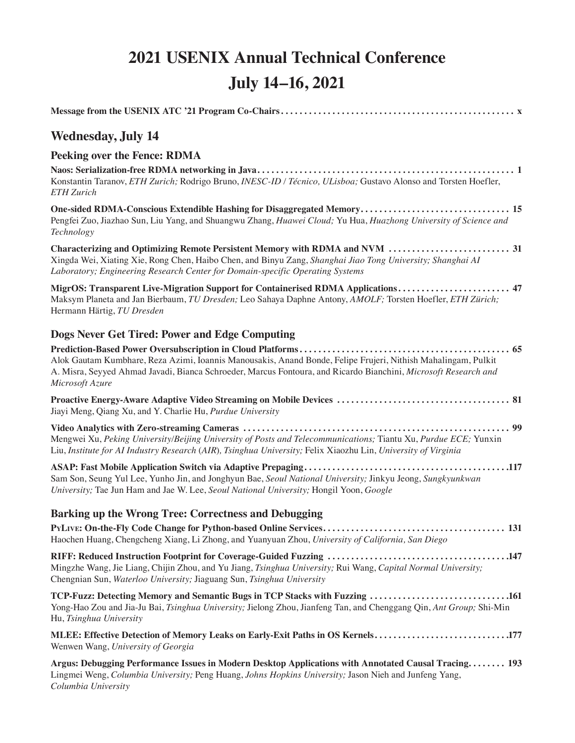# **2021 USENIX Annual Technical Conference July 14–16, 2021**

| <b>Wednesday, July 14</b>                                                                                                                                                                                                                           |
|-----------------------------------------------------------------------------------------------------------------------------------------------------------------------------------------------------------------------------------------------------|
| <b>Peeking over the Fence: RDMA</b>                                                                                                                                                                                                                 |
| Konstantin Taranov, ETH Zurich; Rodrigo Bruno, INESC-ID / Técnico, ULisboa; Gustavo Alonso and Torsten Hoefler,<br><b>ETH</b> Zurich                                                                                                                |
| One-sided RDMA-Conscious Extendible Hashing for Disaggregated Memory 15<br>Pengfei Zuo, Jiazhao Sun, Liu Yang, and Shuangwu Zhang, Huawei Cloud; Yu Hua, Huazhong University of Science and<br>Technology                                           |
| Xingda Wei, Xiating Xie, Rong Chen, Haibo Chen, and Binyu Zang, Shanghai Jiao Tong University; Shanghai AI<br>Laboratory; Engineering Research Center for Domain-specific Operating Systems                                                         |
| MigrOS: Transparent Live-Migration Support for Containerised RDMA Applications 47<br>Maksym Planeta and Jan Bierbaum, TU Dresden; Leo Sahaya Daphne Antony, AMOLF; Torsten Hoefler, ETH Zürich;<br>Hermann Härtig, TU Dresden                       |
| Dogs Never Get Tired: Power and Edge Computing                                                                                                                                                                                                      |
| Alok Gautam Kumbhare, Reza Azimi, Ioannis Manousakis, Anand Bonde, Felipe Frujeri, Nithish Mahalingam, Pulkit<br>A. Misra, Seyyed Ahmad Javadi, Bianca Schroeder, Marcus Fontoura, and Ricardo Bianchini, Microsoft Research and<br>Microsoft Azure |
| Jiayi Meng, Qiang Xu, and Y. Charlie Hu, Purdue University                                                                                                                                                                                          |
| Mengwei Xu, Peking University/Beijing University of Posts and Telecommunications; Tiantu Xu, Purdue ECE; Yunxin<br>Liu, Institute for AI Industry Research (AIR), Tsinghua University; Felix Xiaozhu Lin, University of Virginia                    |
| Sam Son, Seung Yul Lee, Yunho Jin, and Jonghyun Bae, Seoul National University; Jinkyu Jeong, Sungkyunkwan<br>University; Tae Jun Ham and Jae W. Lee, Seoul National University; Hongil Yoon, Google                                                |
| Barking up the Wrong Tree: Correctness and Debugging                                                                                                                                                                                                |
| Haochen Huang, Chengcheng Xiang, Li Zhong, and Yuanyuan Zhou, University of California, San Diego                                                                                                                                                   |
| Mingzhe Wang, Jie Liang, Chijin Zhou, and Yu Jiang, Tsinghua University; Rui Wang, Capital Normal University;<br>Chengnian Sun, Waterloo University; Jiaguang Sun, Tsinghua University                                                              |
| TCP-Fuzz: Detecting Memory and Semantic Bugs in TCP Stacks with Fuzzing 161<br>Yong-Hao Zou and Jia-Ju Bai, Tsinghua University; Jielong Zhou, Jianfeng Tan, and Chenggang Qin, Ant Group; Shi-Min<br>Hu, Tsinghua University                       |
| MLEE: Effective Detection of Memory Leaks on Early-Exit Paths in OS Kernels177<br>Wenwen Wang, University of Georgia                                                                                                                                |
| Argus: Debugging Performance Issues in Modern Desktop Applications with Annotated Causal Tracing 193<br>Lingmei Weng, Columbia University; Peng Huang, Johns Hopkins University; Jason Nieh and Junfeng Yang,                                       |

*Columbia University*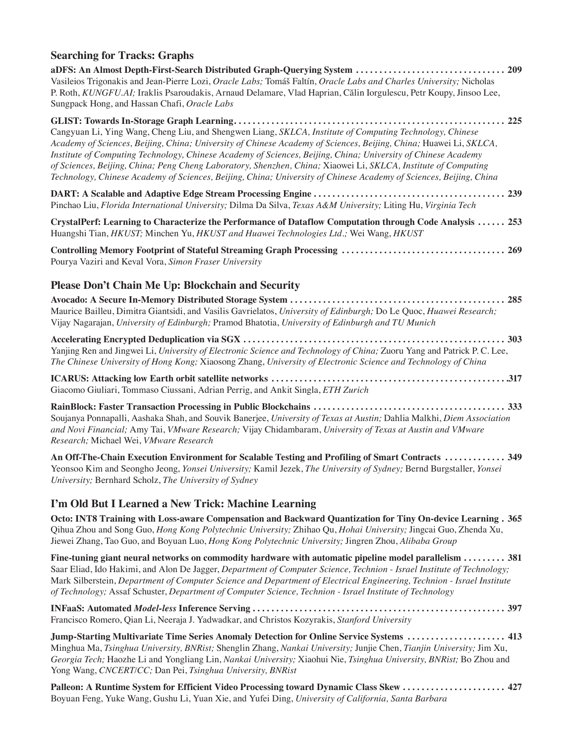### **Searching for Tracks: Graphs aDFS: An Almost Depth-First-Search Distributed Graph-Querying System . . . . . . . . . . . . . . . . . . . . . . . . . . . . . . . . 209** Vasileios Trigonakis and Jean-Pierre Lozi, *Oracle Labs;* Tomáš Faltín, *Oracle Labs and Charles University;* Nicholas P. Roth, *KUNGFU.AI;* Iraklis Psaroudakis, Arnaud Delamare, Vlad Haprian, Călin Iorgulescu, Petr Koupy, Jinsoo Lee, Sungpack Hong, and Hassan Chafi, *Oracle Labs* **GLIST: Towards In-Storage Graph Learning . . . . . . . . . . . . . . . . . . . . . . . . . . . . . . . . . . . . . . . . . . . . . . . . . . . . . . . . . . 225** Cangyuan Li, Ying Wang, Cheng Liu, and Shengwen Liang, *SKLCA, Institute of Computing Technology, Chinese Academy of Sciences, Beijing, China; University of Chinese Academy of Sciences, Beijing, China;* Huawei Li, *SKLCA, Institute of Computing Technology, Chinese Academy of Sciences, Beijing, China; University of Chinese Academy of Sciences, Beijing, China; Peng Cheng Laboratory, Shenzhen, China;* Xiaowei Li, *SKLCA, Institute of Computing Technology, Chinese Academy of Sciences, Beijing, China; University of Chinese Academy of Sciences, Beijing, China* **DART: A Scalable and Adaptive Edge Stream Processing Engine . . . . . . . . . . . . . . . . . . . . . . . . . . . . . . . . . . . . . . . . . 239** Pinchao Liu, *Florida International University;* Dilma Da Silva, *Texas A&M University;* Liting Hu, *Virginia Tech* **CrystalPerf: Learning to Characterize the Performance of Dataflow Computation through Code Analysis . . . . . . 253** Huangshi Tian, *HKUST;* Minchen Yu, *HKUST and Huawei Technologies Ltd.;* Wei Wang, *HKUST* **Controlling Memory Footprint of Stateful Streaming Graph Processing . . . . . . . . . . . . . . . . . . . . . . . . . . . . . . . . . . . 269** Pourya Vaziri and Keval Vora, *Simon Fraser University* **Please Don't Chain Me Up: Blockchain and Security Avocado: A Secure In-Memory Distributed Storage System . . . . . . . . . . . . . . . . . . . . . . . . . . . . . . . . . . . . . . . . . . . . . . 285** Maurice Bailleu, Dimitra Giantsidi, and Vasilis Gavrielatos, *University of Edinburgh;* Do Le Quoc, *Huawei Research;*  Vijay Nagarajan, *University of Edinburgh;* Pramod Bhatotia, *University of Edinburgh and TU Munich* **Accelerating Encrypted Deduplication via SGX . . . . . . . . . . . . . . . . . . . . . . . . . . . . . . . . . . . . . . . . . . . . . . . . . . . . . . . . 303** Yanjing Ren and Jingwei Li, *University of Electronic Science and Technology of China;* Zuoru Yang and Patrick P. C. Lee, *The Chinese University of Hong Kong;* Xiaosong Zhang, *University of Electronic Science and Technology of China* **ICARUS: Attacking low Earth orbit satellite networks . . . . . . . . . . . . . . . . . . . . . . . . . . . . . . . . . . . . . . . . . . . . . . . . . . 317** Giacomo Giuliari, Tommaso Ciussani, Adrian Perrig, and Ankit Singla, *ETH Zurich* **RainBlock: Faster Transaction Processing in Public Blockchains . . . . . . . . . . . . . . . . . . . . . . . . . . . . . . . . . . . . . . . . . 333**

Soujanya Ponnapalli, Aashaka Shah, and Souvik Banerjee, *University of Texas at Austin;* Dahlia Malkhi, *Diem Association and Novi Financial;* Amy Tai, *VMware Research;* Vijay Chidambaram, *University of Texas at Austin and VMware Research;* Michael Wei, *VMware Research*

**An Off-The-Chain Execution Environment for Scalable Testing and Profiling of Smart Contracts . . . . . . . . . . . . . 349** Yeonsoo Kim and Seongho Jeong, *Yonsei University;* Kamil Jezek, *The University of Sydney;* Bernd Burgstaller, *Yonsei University;* Bernhard Scholz, *The University of Sydney*

#### **I'm Old But I Learned a New Trick: Machine Learning**

**Octo: INT8 Training with Loss-aware Compensation and Backward Quantization for Tiny On-device Learning . 365** Qihua Zhou and Song Guo, *Hong Kong Polytechnic University;* Zhihao Qu, *Hohai University;* Jingcai Guo, Zhenda Xu, Jiewei Zhang, Tao Guo, and Boyuan Luo, *Hong Kong Polytechnic University;* Jingren Zhou, *Alibaba Group*

**Fine-tuning giant neural networks on commodity hardware with automatic pipeline model parallelism . . . . . . . . . 381** Saar Eliad, Ido Hakimi, and Alon De Jagger, *Department of Computer Science, Technion - Israel Institute of Technology;*  Mark Silberstein, *Department of Computer Science and Department of Electrical Engineering, Technion - Israel Institute of Technology;* Assaf Schuster, *Department of Computer Science, Technion - Israel Institute of Technology*

**INFaaS: Automated** *Model-less* **Inference Serving . . . . . . . . . . . . . . . . . . . . . . . . . . . . . . . . . . . . . . . . . . . . . . . . . . . . . . 397** Francisco Romero, Qian Li, Neeraja J. Yadwadkar, and Christos Kozyrakis, *Stanford University*

**Jump-Starting Multivariate Time Series Anomaly Detection for Online Service Systems . . . . . . . . . . . . . . . . . . . . . 413** Minghua Ma, *Tsinghua University, BNRist;* Shenglin Zhang, *Nankai University;* Junjie Chen, *Tianjin University;* Jim Xu, *Georgia Tech;* Haozhe Li and Yongliang Lin, *Nankai University;* Xiaohui Nie, *Tsinghua University, BNRist;* Bo Zhou and Yong Wang, *CNCERT/CC;* Dan Pei, *Tsinghua University, BNRist*

**Palleon: A Runtime System for Efficient Video Processing toward Dynamic Class Skew . . . . . . . . . . . . . . . . . . . . . . 427** Boyuan Feng, Yuke Wang, Gushu Li, Yuan Xie, and Yufei Ding, *University of California, Santa Barbara*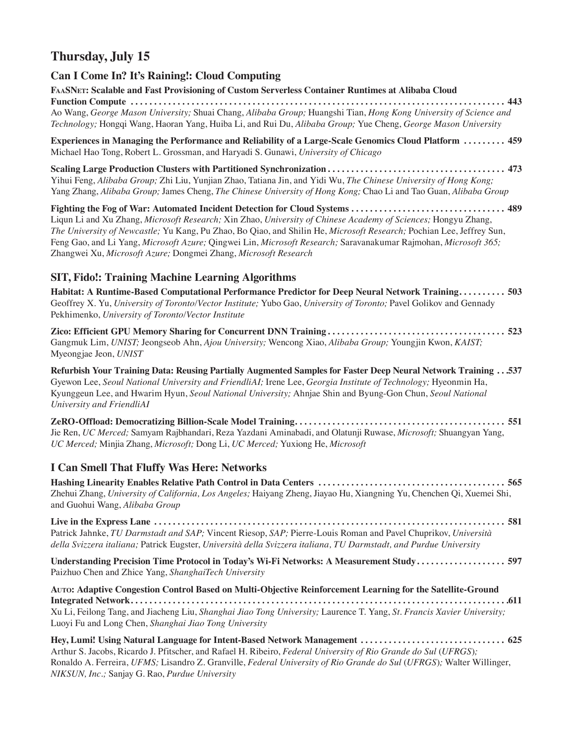## **Thursday, July 15**

#### **Can I Come In? It's Raining!: Cloud Computing**

**FaaSNet: Scalable and Fast Provisioning of Custom Serverless Container Runtimes at Alibaba Cloud Function Compute . . . . . . . . . . . . . . . . . . . . . . . . . . . . . . . . . . . . . . . . . . . . . . . . . . . . . . . . . . . . . . . . . . . . . . . . . . . . . . . . 443** Ao Wang, *George Mason University;* Shuai Chang, *Alibaba Group;* Huangshi Tian, *Hong Kong University of Science and Technology;* Hongqi Wang, Haoran Yang, Huiba Li, and Rui Du, *Alibaba Group;* Yue Cheng, *George Mason University*

**Experiences in Managing the Performance and Reliability of a Large-Scale Genomics Cloud Platform . . . . . . . . . 459** Michael Hao Tong, Robert L. Grossman, and Haryadi S. Gunawi, *University of Chicago*

**Scaling Large Production Clusters with Partitioned Synchronization . . . . . . . . . . . . . . . . . . . . . . . . . . . . . . . . . . . . . . 473** Yihui Feng, *Alibaba Group;* Zhi Liu, Yunjian Zhao, Tatiana Jin, and Yidi Wu, *The Chinese University of Hong Kong;*  Yang Zhang, *Alibaba Group;* James Cheng, *The Chinese University of Hong Kong;* Chao Li and Tao Guan, *Alibaba Group*

**Fighting the Fog of War: Automated Incident Detection for Cloud Systems . . . . . . . . . . . . . . . . . . . . . . . . . . . . . . . . . 489** Liqun Li and Xu Zhang, *Microsoft Research;* Xin Zhao, *University of Chinese Academy of Sciences;* Hongyu Zhang, *The University of Newcastle;* Yu Kang, Pu Zhao, Bo Qiao, and Shilin He, *Microsoft Research;* Pochian Lee, Jeffrey Sun, Feng Gao, and Li Yang, *Microsoft Azure;* Qingwei Lin, *Microsoft Research;* Saravanakumar Rajmohan, *Microsoft 365;*  Zhangwei Xu, *Microsoft Azure;* Dongmei Zhang, *Microsoft Research*

#### **SIT, Fido!: Training Machine Learning Algorithms**

**Habitat: A Runtime-Based Computational Performance Predictor for Deep Neural Network Training . . . . . . . . . . 503** Geoffrey X. Yu, *University of Toronto/Vector Institute;* Yubo Gao, *University of Toronto;* Pavel Golikov and Gennady Pekhimenko, *University of Toronto/Vector Institute*

**Zico: Efficient GPU Memory Sharing for Concurrent DNN Training . . . . . . . . . . . . . . . . . . . . . . . . . . . . . . . . . . . . . . 523** Gangmuk Lim, *UNIST;* Jeongseob Ahn, *Ajou University;* Wencong Xiao, *Alibaba Group;* Youngjin Kwon, *KAIST;*  Myeongjae Jeon, *UNIST*

**Refurbish Your Training Data: Reusing Partially Augmented Samples for Faster Deep Neural Network Training . . 537** Gyewon Lee, *Seoul National University and FriendliAI;* Irene Lee, *Georgia Institute of Technology;* Hyeonmin Ha, Kyunggeun Lee, and Hwarim Hyun, *Seoul National University;* Ahnjae Shin and Byung-Gon Chun, *Seoul National University and FriendliAI*

**ZeRO-Offload: Democratizing Billion-Scale Model Training . . . . . . . . . . . . . . . . . . . . . . . . . . . . . . . . . . . . . . . . . . . . . 551** Jie Ren, *UC Merced;* Samyam Rajbhandari, Reza Yazdani Aminabadi, and Olatunji Ruwase, *Microsoft;* Shuangyan Yang, *UC Merced;* Minjia Zhang, *Microsoft;* Dong Li, *UC Merced;* Yuxiong He, *Microsoft*

#### **I Can Smell That Fluffy Was Here: Networks**

**Hashing Linearity Enables Relative Path Control in Data Centers . . . . . . . . . . . . . . . . . . . . . . . . . . . . . . . . . . . . . . . . 565** Zhehui Zhang, *University of California, Los Angeles;* Haiyang Zheng, Jiayao Hu, Xiangning Yu, Chenchen Qi, Xuemei Shi, and Guohui Wang, *Alibaba Group*

**Live in the Express Lane . . . . . . . . . . . . . . . . . . . . . . . . . . . . . . . . . . . . . . . . . . . . . . . . . . . . . . . . . . . . . . . . . . . . . . . . . . . 581** Patrick Jahnke, *TU Darmstadt and SAP;* Vincent Riesop, *SAP;* Pierre-Louis Roman and Pavel Chuprikov, *Università della Svizzera italiana;* Patrick Eugster, *Università della Svizzera italiana, TU Darmstadt, and Purdue University*

**Understanding Precision Time Protocol in Today's Wi-Fi Networks: A Measurement Study . . . . . . . . . . . . . . . . . . . 597** Paizhuo Chen and Zhice Yang, *ShanghaiTech University*

**Auto: Adaptive Congestion Control Based on Multi-Objective Reinforcement Learning for the Satellite-Ground Integrated Network . . . . . . . . . . . . . . . . . . . . . . . . . . . . . . . . . . . . . . . . . . . . . . . . . . . . . . . . . . . . . . . . . . . . . . . . . . . . . . . . 611** Xu Li, Feilong Tang, and Jiacheng Liu, *Shanghai Jiao Tong University;* Laurence T. Yang, *St. Francis Xavier University;*  Luoyi Fu and Long Chen, *Shanghai Jiao Tong University*

**Hey, Lumi! Using Natural Language for Intent-Based Network Management . . . . . . . . . . . . . . . . . . . . . . . . . . . . . . . 625** Arthur S. Jacobs, Ricardo J. Pfitscher, and Rafael H. Ribeiro, *Federal University of Rio Grande do Sul* (*UFRGS*)*;*  Ronaldo A. Ferreira, *UFMS;* Lisandro Z. Granville, *Federal University of Rio Grande do Sul* (*UFRGS*)*;* Walter Willinger, *NIKSUN, Inc.;* Sanjay G. Rao, *Purdue University*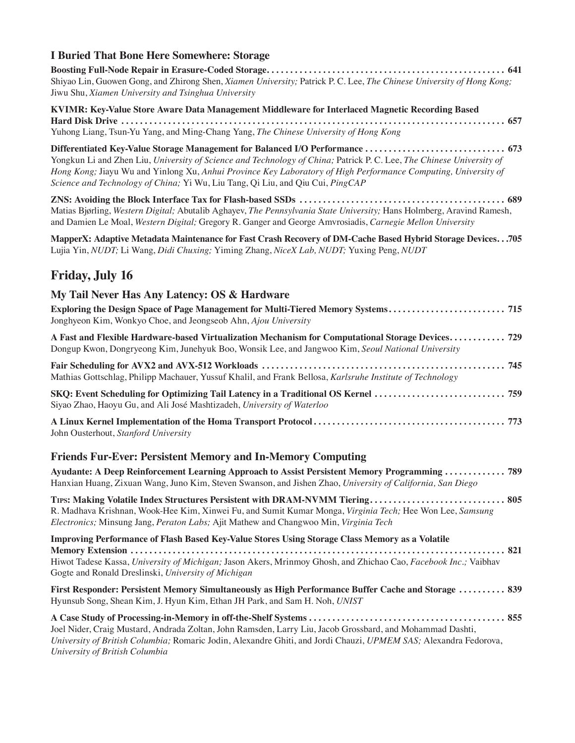#### **I Buried That Bone Here Somewhere: Storage**

**Boosting Full-Node Repair in Erasure-Coded Storage . . . . . . . . . . . . . . . . . . . . . . . . . . . . . . . . . . . . . . . . . . . . . . . . . . . 641** Shiyao Lin, Guowen Gong, and Zhirong Shen, *Xiamen University;* Patrick P. C. Lee, *The Chinese University of Hong Kong;*  Jiwu Shu, *Xiamen University and Tsinghua University*

**KVIMR: Key-Value Store Aware Data Management Middleware for Interlaced Magnetic Recording Based Hard Disk Drive . . . . . . . . . . . . . . . . . . . . . . . . . . . . . . . . . . . . . . . . . . . . . . . . . . . . . . . . . . . . . . . . . . . . . . . . . . . . . . . . . . 657** Yuhong Liang, Tsun-Yu Yang, and Ming-Chang Yang, *The Chinese University of Hong Kong*

**Differentiated Key-Value Storage Management for Balanced I/O Performance . . . . . . . . . . . . . . . . . . . . . . . . . . . . . . 673** Yongkun Li and Zhen Liu, *University of Science and Technology of China;* Patrick P. C. Lee, *The Chinese University of Hong Kong;* Jiayu Wu and Yinlong Xu, *Anhui Province Key Laboratory of High Performance Computing, University of Science and Technology of China;* Yi Wu, Liu Tang, Qi Liu, and Qiu Cui, *PingCAP*

**ZNS: Avoiding the Block Interface Tax for Flash-based SSDs . . . . . . . . . . . . . . . . . . . . . . . . . . . . . . . . . . . . . . . . . . . . 689** Matias Bjørling, *Western Digital;* Abutalib Aghayev, *The Pennsylvania State University;* Hans Holmberg, Aravind Ramesh, and Damien Le Moal, *Western Digital;* Gregory R. Ganger and George Amvrosiadis, *Carnegie Mellon University*

**MapperX: Adaptive Metadata Maintenance for Fast Crash Recovery of DM-Cache Based Hybrid Storage Devices . . 705** Lujia Yin, *NUDT;* Li Wang, *Didi Chuxing;* Yiming Zhang, *NiceX Lab, NUDT;* Yuxing Peng, *NUDT*

## **Friday, July 16**

| My Tail Never Has Any Latency: OS & Hardware                                                                                                                                                                                                                                     |
|----------------------------------------------------------------------------------------------------------------------------------------------------------------------------------------------------------------------------------------------------------------------------------|
| Exploring the Design Space of Page Management for Multi-Tiered Memory Systems 715<br>Jonghyeon Kim, Wonkyo Choe, and Jeongseob Ahn, Ajou University                                                                                                                              |
| A Fast and Flexible Hardware-based Virtualization Mechanism for Computational Storage Devices 729<br>Dongup Kwon, Dongryeong Kim, Junehyuk Boo, Wonsik Lee, and Jangwoo Kim, Seoul National University                                                                           |
| Mathias Gottschlag, Philipp Machauer, Yussuf Khalil, and Frank Bellosa, Karlsruhe Institute of Technology                                                                                                                                                                        |
| SKQ: Event Scheduling for Optimizing Tail Latency in a Traditional OS Kernel  759<br>Siyao Zhao, Haoyu Gu, and Ali José Mashtizadeh, University of Waterloo                                                                                                                      |
| John Ousterhout, Stanford University                                                                                                                                                                                                                                             |
| <b>Friends Fur-Ever: Persistent Memory and In-Memory Computing</b>                                                                                                                                                                                                               |
| Ayudante: A Deep Reinforcement Learning Approach to Assist Persistent Memory Programming  789<br>Hanxian Huang, Zixuan Wang, Juno Kim, Steven Swanson, and Jishen Zhao, University of California, San Diego                                                                      |
| TIPS: Making Volatile Index Structures Persistent with DRAM-NVMM Tiering 805<br>R. Madhava Krishnan, Wook-Hee Kim, Xinwei Fu, and Sumit Kumar Monga, Virginia Tech; Hee Won Lee, Samsung<br>Electronics; Minsung Jang, Peraton Labs; Ajit Mathew and Changwoo Min, Virginia Tech |
| <b>Improving Performance of Flash Based Key-Value Stores Using Storage Class Memory as a Volatile</b>                                                                                                                                                                            |
| Hiwot Tadese Kassa, University of Michigan; Jason Akers, Mrinmoy Ghosh, and Zhichao Cao, Facebook Inc.; Vaibhav<br>Gogte and Ronald Dreslinski, University of Michigan                                                                                                           |
| First Responder: Persistent Memory Simultaneously as High Performance Buffer Cache and Storage  839<br>Hyunsub Song, Shean Kim, J. Hyun Kim, Ethan JH Park, and Sam H. Noh, UNIST                                                                                                |
|                                                                                                                                                                                                                                                                                  |

Joel Nider, Craig Mustard, Andrada Zoltan, John Ramsden, Larry Liu, Jacob Grossbard, and Mohammad Dashti, *University of British Columbia;* Romaric Jodin, Alexandre Ghiti, and Jordi Chauzi, *UPMEM SAS;* Alexandra Fedorova, *University of British Columbia*